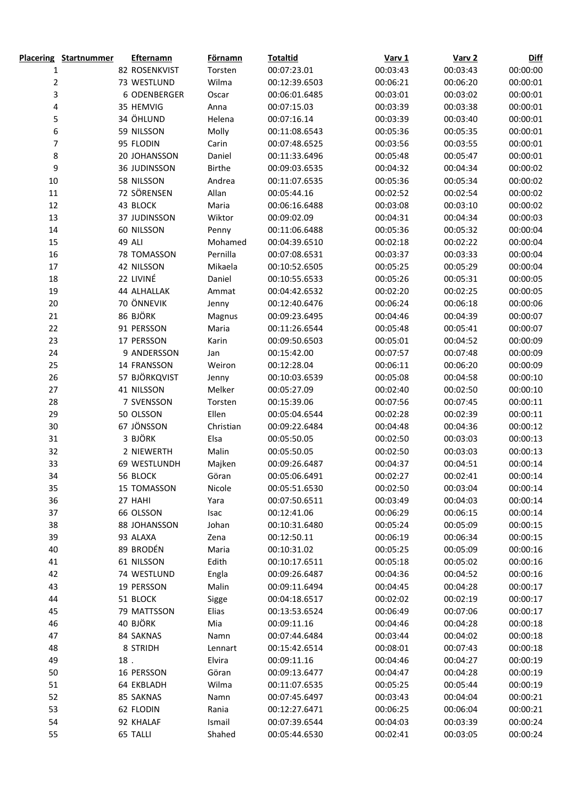|                         | <b>Placering Startnummer</b> |        | <b>Efternamn</b> | <b>Förnamn</b> | <b>Totaltid</b> | Varv <sub>1</sub> | Varv <sub>2</sub> | <b>Diff</b> |
|-------------------------|------------------------------|--------|------------------|----------------|-----------------|-------------------|-------------------|-------------|
| 1                       |                              |        | 82 ROSENKVIST    | Torsten        | 00:07:23.01     | 00:03:43          | 00:03:43          | 00:00:00    |
| $\overline{\mathbf{c}}$ |                              |        | 73 WESTLUND      | Wilma          | 00:12:39.6503   | 00:06:21          | 00:06:20          | 00:00:01    |
| 3                       |                              |        | 6 ODENBERGER     | Oscar          | 00:06:01.6485   | 00:03:01          | 00:03:02          | 00:00:01    |
| 4                       |                              |        | 35 HEMVIG        | Anna           | 00:07:15.03     | 00:03:39          | 00:03:38          | 00:00:01    |
| 5                       |                              |        | 34 ÖHLUND        | Helena         | 00:07:16.14     | 00:03:39          | 00:03:40          | 00:00:01    |
| 6                       |                              |        | 59 NILSSON       | Molly          | 00:11:08.6543   | 00:05:36          | 00:05:35          | 00:00:01    |
| 7                       |                              |        | 95 FLODIN        | Carin          | 00:07:48.6525   | 00:03:56          | 00:03:55          | 00:00:01    |
| $\bf 8$                 |                              |        | 20 JOHANSSON     | Daniel         | 00:11:33.6496   | 00:05:48          | 00:05:47          | 00:00:01    |
| 9                       |                              |        | 36 JUDINSSON     | <b>Birthe</b>  | 00:09:03.6535   | 00:04:32          | 00:04:34          | 00:00:02    |
| $10\,$                  |                              |        | 58 NILSSON       | Andrea         | 00:11:07.6535   | 00:05:36          | 00:05:34          | 00:00:02    |
| $11\,$                  |                              |        | 72 SÖRENSEN      | Allan          | 00:05:44.16     | 00:02:52          | 00:02:54          | 00:00:02    |
| $12\,$                  |                              |        | 43 BLOCK         | Maria          | 00:06:16.6488   | 00:03:08          | 00:03:10          | 00:00:02    |
| 13                      |                              |        | 37 JUDINSSON     | Wiktor         | 00:09:02.09     | 00:04:31          | 00:04:34          | 00:00:03    |
| 14                      |                              |        | 60 NILSSON       | Penny          | 00:11:06.6488   | 00:05:36          | 00:05:32          | 00:00:04    |
| 15                      |                              |        | 49 ALI           | Mohamed        | 00:04:39.6510   | 00:02:18          | 00:02:22          | 00:00:04    |
| 16                      |                              |        | 78 TOMASSON      | Pernilla       | 00:07:08.6531   | 00:03:37          | 00:03:33          | 00:00:04    |
| $17\,$                  |                              |        | 42 NILSSON       | Mikaela        | 00:10:52.6505   | 00:05:25          | 00:05:29          | 00:00:04    |
| 18                      |                              |        | 22 LIVINÉ        | Daniel         | 00:10:55.6533   | 00:05:26          | 00:05:31          | 00:00:05    |
| 19                      |                              |        | 44 ALHALLAK      | Ammat          | 00:04:42.6532   | 00:02:20          | 00:02:25          | 00:00:05    |
| 20                      |                              |        | 70 ÖNNEVIK       | Jenny          | 00:12:40.6476   | 00:06:24          | 00:06:18          | 00:00:06    |
| 21                      |                              |        | 86 BJÖRK         | Magnus         | 00:09:23.6495   | 00:04:46          | 00:04:39          | 00:00:07    |
| 22                      |                              |        | 91 PERSSON       | Maria          | 00:11:26.6544   | 00:05:48          | 00:05:41          | 00:00:07    |
| 23                      |                              |        | 17 PERSSON       | Karin          | 00:09:50.6503   | 00:05:01          | 00:04:52          | 00:00:09    |
| 24                      |                              |        | 9 ANDERSSON      | Jan            | 00:15:42.00     | 00:07:57          | 00:07:48          | 00:00:09    |
| 25                      |                              |        | 14 FRANSSON      | Weiron         | 00:12:28.04     | 00:06:11          | 00:06:20          | 00:00:09    |
| 26                      |                              |        | 57 BJÖRKQVIST    | Jenny          | 00:10:03.6539   | 00:05:08          | 00:04:58          | 00:00:10    |
| 27                      |                              |        | 41 NILSSON       | Melker         | 00:05:27.09     | 00:02:40          | 00:02:50          | 00:00:10    |
| 28                      |                              |        | 7 SVENSSON       | Torsten        | 00:15:39.06     | 00:07:56          | 00:07:45          | 00:00:11    |
| 29                      |                              |        | 50 OLSSON        | Ellen          | 00:05:04.6544   | 00:02:28          | 00:02:39          | 00:00:11    |
| $30\,$                  |                              |        | 67 JÖNSSON       | Christian      | 00:09:22.6484   | 00:04:48          | 00:04:36          | 00:00:12    |
| 31                      |                              |        | 3 BJÖRK          | Elsa           | 00:05:50.05     | 00:02:50          | 00:03:03          | 00:00:13    |
| 32                      |                              |        | 2 NIEWERTH       | Malin          | 00:05:50.05     | 00:02:50          | 00:03:03          | 00:00:13    |
| 33                      |                              |        | 69 WESTLUNDH     | Majken         | 00:09:26.6487   | 00:04:37          | 00:04:51          | 00:00:14    |
| 34                      |                              |        | 56 BLOCK         | Göran          | 00:05:06.6491   | 00:02:27          | 00:02:41          | 00:00:14    |
| 35                      |                              |        | 15 TOMASSON      | Nicole         | 00:05:51.6530   | 00:02:50          | 00:03:04          | 00:00:14    |
| 36                      |                              |        | 27 HAHI          | Yara           | 00:07:50.6511   | 00:03:49          | 00:04:03          | 00:00:14    |
| 37                      |                              |        | 66 OLSSON        | Isac           | 00:12:41.06     | 00:06:29          | 00:06:15          | 00:00:14    |
| 38                      |                              |        | 88 JOHANSSON     | Johan          | 00:10:31.6480   | 00:05:24          | 00:05:09          | 00:00:15    |
| 39                      |                              |        | 93 ALAXA         | Zena           | 00:12:50.11     | 00:06:19          | 00:06:34          | 00:00:15    |
| 40                      |                              |        | 89 BRODÉN        | Maria          | 00:10:31.02     | 00:05:25          | 00:05:09          | 00:00:16    |
| 41                      |                              |        | 61 NILSSON       | Edith          | 00:10:17.6511   | 00:05:18          | 00:05:02          | 00:00:16    |
| 42                      |                              |        | 74 WESTLUND      | Engla          | 00:09:26.6487   | 00:04:36          | 00:04:52          | 00:00:16    |
| 43                      |                              |        | 19 PERSSON       | Malin          | 00:09:11.6494   | 00:04:45          | 00:04:28          | 00:00:17    |
| 44                      |                              |        | 51 BLOCK         | Sigge          | 00:04:18.6517   | 00:02:02          | 00:02:19          | 00:00:17    |
| 45                      |                              |        | 79 MATTSSON      | Elias          | 00:13:53.6524   | 00:06:49          | 00:07:06          | 00:00:17    |
| 46                      |                              |        | 40 BJÖRK         | Mia            | 00:09:11.16     | 00:04:46          | 00:04:28          | 00:00:18    |
| 47                      |                              |        | 84 SAKNAS        | Namn           | 00:07:44.6484   | 00:03:44          | 00:04:02          | 00:00:18    |
| 48                      |                              |        | 8 STRIDH         | Lennart        | 00:15:42.6514   | 00:08:01          | 00:07:43          | 00:00:18    |
| 49                      |                              | $18$ . |                  | Elvira         | 00:09:11.16     | 00:04:46          | 00:04:27          | 00:00:19    |
| 50                      |                              |        | 16 PERSSON       | Göran          | 00:09:13.6477   | 00:04:47          | 00:04:28          | 00:00:19    |
| 51                      |                              |        | 64 EKBLADH       | Wilma          | 00:11:07.6535   | 00:05:25          | 00:05:44          | 00:00:19    |
| 52                      |                              |        | 85 SAKNAS        | Namn           | 00:07:45.6497   | 00:03:43          | 00:04:04          | 00:00:21    |
| 53                      |                              |        | 62 FLODIN        | Rania          | 00:12:27.6471   | 00:06:25          | 00:06:04          | 00:00:21    |
| 54                      |                              |        | 92 KHALAF        | Ismail         | 00:07:39.6544   | 00:04:03          | 00:03:39          | 00:00:24    |
| 55                      |                              |        | 65 TALLI         | Shahed         | 00:05:44.6530   | 00:02:41          | 00:03:05          | 00:00:24    |